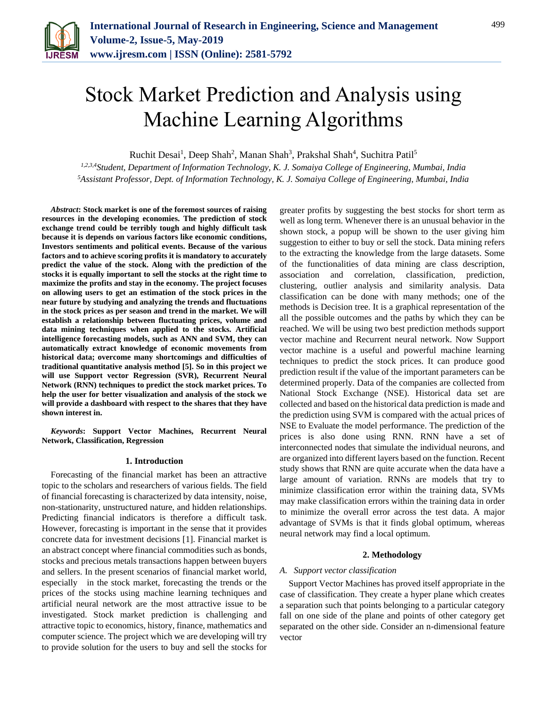

# Stock Market Prediction and Analysis using Machine Learning Algorithms

Ruchit Desai<sup>1</sup>, Deep Shah<sup>2</sup>, Manan Shah<sup>3</sup>, Prakshal Shah<sup>4</sup>, Suchitra Patil<sup>5</sup>

*1,2,3,4Student, Department of Information Technology, K. J. Somaiya College of Engineering, Mumbai, India <sup>5</sup>Assistant Professor, Dept. of Information Technology, K. J. Somaiya College of Engineering, Mumbai, India*

*Abstract***: Stock market is one of the foremost sources of raising resources in the developing economies. The prediction of stock exchange trend could be terribly tough and highly difficult task because it is depends on various factors like economic conditions, Investors sentiments and political events. Because of the various factors and to achieve scoring profits it is mandatory to accurately predict the value of the stock. Along with the prediction of the stocks it is equally important to sell the stocks at the right time to maximize the profits and stay in the economy. The project focuses on allowing users to get an estimation of the stock prices in the near future by studying and analyzing the trends and fluctuations in the stock prices as per season and trend in the market. We will establish a relationship between fluctuating prices, volume and data mining techniques when applied to the stocks. Artificial intelligence forecasting models, such as ANN and SVM, they can automatically extract knowledge of economic movements from historical data; overcome many shortcomings and difficulties of traditional quantitative analysis method [5]. So in this project we will use Support vector Regression (SVR), Recurrent Neural Network (RNN) techniques to predict the stock market prices. To help the user for better visualization and analysis of the stock we will provide a dashboard with respect to the shares that they have shown interest in.**

*Keywords***: Support Vector Machines, Recurrent Neural Network, Classification, Regression**

#### **1. Introduction**

Forecasting of the financial market has been an attractive topic to the scholars and researchers of various fields. The field of financial forecasting is characterized by data intensity, noise, non-stationarity, unstructured nature, and hidden relationships. Predicting financial indicators is therefore a difficult task. However, forecasting is important in the sense that it provides concrete data for investment decisions [1]. Financial market is an abstract concept where financial commodities such as bonds, stocks and precious metals transactions happen between buyers and sellers. In the present scenarios of financial market world, especially in the stock market, forecasting the trends or the prices of the stocks using machine learning techniques and artificial neural network are the most attractive issue to be investigated. Stock market prediction is challenging and attractive topic to economics, history, finance, mathematics and computer science. The project which we are developing will try to provide solution for the users to buy and sell the stocks for

greater profits by suggesting the best stocks for short term as well as long term. Whenever there is an unusual behavior in the shown stock, a popup will be shown to the user giving him suggestion to either to buy or sell the stock. Data mining refers to the extracting the knowledge from the large datasets. Some of the functionalities of data mining are class description, association and correlation, classification, prediction, clustering, outlier analysis and similarity analysis. Data classification can be done with many methods; one of the methods is Decision tree. It is a graphical representation of the all the possible outcomes and the paths by which they can be reached. We will be using two best prediction methods support vector machine and Recurrent neural network. Now Support vector machine is a useful and powerful machine learning techniques to predict the stock prices. It can produce good prediction result if the value of the important parameters can be determined properly. Data of the companies are collected from National Stock Exchange (NSE). Historical data set are collected and based on the historical data prediction is made and the prediction using SVM is compared with the actual prices of NSE to Evaluate the model performance. The prediction of the prices is also done using RNN. RNN have a set of interconnected nodes that simulate the individual neurons, and are organized into different layers based on the function. Recent study shows that RNN are quite accurate when the data have a large amount of variation. RNNs are models that try to minimize classification error within the training data, SVMs may make classification errors within the training data in order to minimize the overall error across the test data. A major advantage of SVMs is that it finds global optimum, whereas neural network may find a local optimum.

## **2. Methodology**

# *A. Support vector classification*

Support Vector Machines has proved itself appropriate in the case of classification. They create a hyper plane which creates a separation such that points belonging to a particular category fall on one side of the plane and points of other category get separated on the other side. Consider an n-dimensional feature vector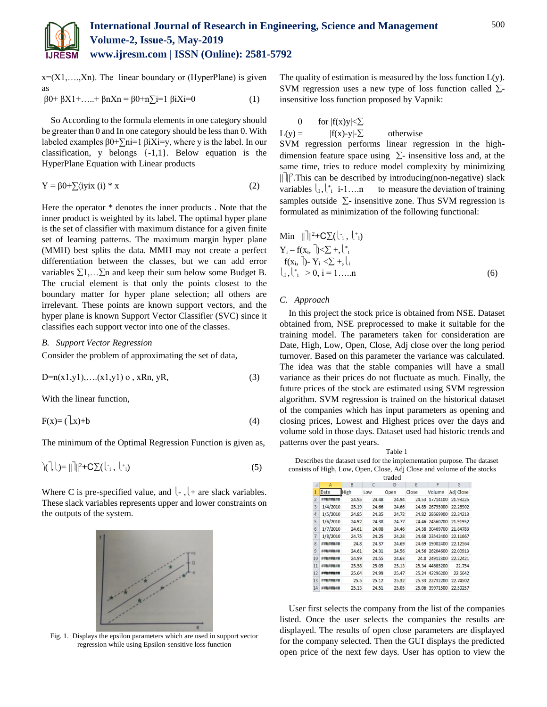

 $x=(X1, \ldots, Xn)$ . The linear boundary or (HyperPlane) is given as  $β0+βX1+....+βnXn = β0+n[1=1 βiXi=0$  (1)

So According to the formula elements in one category should be greater than 0 and In one category should be less than 0. With labeled examples 
$$
\beta 0 + \sum n = 1 \beta iX = y
$$
, where y is the label. In our classification, y belongs  $\{-1,1\}$ . Below equation is the HyperPlane Equation with Linear products

$$
Y = \beta 0 + \sum \langle i \text{y} i \text{x} \ (i) \ast \text{x} \tag{2}
$$

Here the operator \* denotes the inner products . Note that the inner product is weighted by its label. The optimal hyper plane is the set of classifier with maximum distance for a given finite set of learning patterns. The maximum margin hyper plane (MMH) best splits the data. MMH may not create a perfect differentiation between the classes, but we can add error variables  $\Sigma$ 1,... $\Sigma$ n and keep their sum below some Budget B. The crucial element is that only the points closest to the boundary matter for hyper plane selection; all others are irrelevant. These points are known support vectors, and the hyper plane is known Support Vector Classifier (SVC) since it classifies each support vector into one of the classes.

## *B. Support Vector Regression*

Consider the problem of approximating the set of data,

$$
D = n(x1,y1), \dots (x1,y1) \text{ o }, xRn, yR,
$$
\n(3)

With the linear function,

$$
F(x) = \left(\begin{matrix} 1 \\ x \end{matrix}\right) + b \tag{4}
$$

The minimum of the Optimal Regression Function is given as,

$$
\left(\frac{1}{2}, \frac{1}{2}\right) = \frac{1}{2} + C \sum_{i} \left(\frac{1}{2}, \frac{1}{2}\right)
$$
 (5)

Where C is pre-specified value, and  $\vert \cdot \vert$  + are slack variables. These slack variables represents upper and lower constraints on the outputs of the system.



Fig. 1. Displays the epsilon parameters which are used in support vector regression while using Epsilon-sensitive loss function

The quality of estimation is measured by the loss function  $L(y)$ . SVM regression uses a new type of loss function called  $\Sigma$ insensitive loss function proposed by Vapnik:

0 for  $|f(x)y| < \sum$ 

 $L(y) = |f(x)-y|-\sum$  otherwise

SVM regression performs linear regression in the highdimension feature space using  $\Sigma$ - insensitive loss and, at the same time, tries to reduce model complexity by minimizing  $\|\cdot\|$ <sup>2</sup>. This can be described by introducing(non-negative) slack variables  $\vert I_1 \vert_{i=1}^*$  i-1....n to measure the deviation of training samples outside  $\Sigma$ - insensitive zone. Thus SVM regression is formulated as minimization of the following functional:

Min 
$$
||\|^{2} + C\sum(\binom{1}{i}, \binom{+_{i}}{i})
$$
  
\n $Y_{i} - f(x_{i}, \sqrt{2}) < \sum + \binom{1}{i}$   
\n $f(x_{i}, \sqrt{2}) - Y_{i} < \sum + \binom{1}{i}$   
\n $\binom{1}{i} \binom{+_{i}}{i} > 0, i = 1, \dots, n$  (6)

#### *C. Approach*

In this project the stock price is obtained from NSE. Dataset obtained from, NSE preprocessed to make it suitable for the training model. The parameters taken for consideration are Date, High, Low, Open, Close, Adj close over the long period turnover. Based on this parameter the variance was calculated. The idea was that the stable companies will have a small variance as their prices do not fluctuate as much. Finally, the future prices of the stock are estimated using SVM regression algorithm. SVM regression is trained on the historical dataset of the companies which has input parameters as opening and closing prices, Lowest and Highest prices over the days and volume sold in those days. Dataset used had historic trends and patterns over the past years.

Table 1 Describes the dataset used for the implementation purpose. The dataset consists of High, Low, Open, Close, Adj Close and volume of the stocks

| traded         |                  |       |       |       |       |                |           |
|----------------|------------------|-------|-------|-------|-------|----------------|-----------|
|                | A                | B     | C     | D     | E     | F              | G         |
| 1              | Date             | High  | Low   | Open  | Close | Volume         | Adj Close |
| $\overline{2}$ | **********       | 24.95 | 24.48 | 24.94 |       | 24.53 17714100 | 21.98225  |
| $\overline{3}$ | 1/4/2010         | 25.19 | 24.66 | 24,66 |       | 24.85 26795000 | 22.26902  |
| $\overline{4}$ | 1/5/2010         | 24.85 | 24.35 | 24.72 |       | 24.82 28669900 | 22.24213  |
| 5              | 1/6/2010         | 24.92 | 24.38 | 24,77 |       | 24.46 24560700 | 21.91952  |
| 6              | 1/7/2010         | 24.61 | 24.08 | 24,46 |       | 24.38 30469700 | 21.84783  |
| $\overline{7}$ | 1/8/2010         | 24.75 | 24.25 | 24.28 |       | 24.68 23542400 | 22.11667  |
| 8              | ########         | 24.8  | 24.37 | 24.69 |       | 24.69 19002400 | 22.12564  |
| 9              | ########         | 24.61 | 24.31 | 24.56 |       | 24.56 26204600 | 22.00913  |
| 10             | ########         | 24.99 | 24.55 | 24.63 |       | 24.8 24912300  | 22.22421  |
| 11             | ########         | 25.58 | 25.05 | 25.13 |       | 25.34 44685200 | 22.754    |
| 12             | **********       | 25.64 | 24.99 | 25.47 |       | 25.24 42296200 | 22.6642   |
| 13             | ########         | 25.5  | 25.12 | 25.32 |       | 25.33 22732200 | 22.74502  |
| 14             | <u>*********</u> | 25.13 | 24.51 | 25.05 |       | 25.06 39971500 | 22.50257  |

User first selects the company from the list of the companies listed. Once the user selects the companies the results are displayed. The results of open close parameters are displayed for the company selected. Then the GUI displays the predicted open price of the next few days. User has option to view the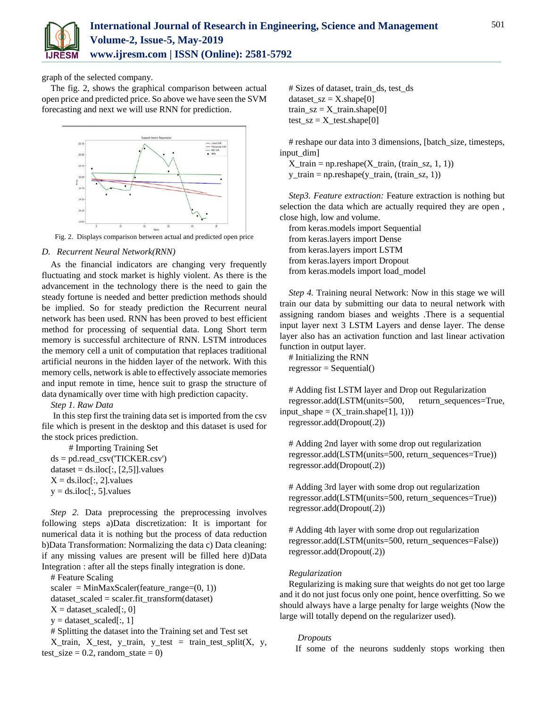

graph of the selected company.

The fig. 2, shows the graphical comparison between actual open price and predicted price. So above we have seen the SVM forecasting and next we will use RNN for prediction.



Fig. 2. Displays comparison between actual and predicted open price

## *D. Recurrent Neural Network(RNN)*

As the financial indicators are changing very frequently fluctuating and stock market is highly violent. As there is the advancement in the technology there is the need to gain the steady fortune is needed and better prediction methods should be implied. So for steady prediction the Recurrent neural network has been used. RNN has been proved to best efficient method for processing of sequential data. Long Short term memory is successful architecture of RNN. LSTM introduces the memory cell a unit of computation that replaces traditional artificial neurons in the hidden layer of the network. With this memory cells, network is able to effectively associate memories and input remote in time, hence suit to grasp the structure of data dynamically over time with high prediction capacity.

*Step 1. Raw Data*

In this step first the training data set is imported from the csv file which is present in the desktop and this dataset is used for the stock prices prediction.

# Importing Training Set  $ds = pd.read_csv("TICKER.csv")$  $dataset = ds.iloc[:, [2,5]]. values$  $X = ds.iloc[:, 2].values$  $y = ds.iloc[:, 5].values$ 

*Step 2.* Data preprocessing the preprocessing involves following steps a)Data discretization: It is important for numerical data it is nothing but the process of data reduction b)Data Transformation: Normalizing the data c) Data cleaning: if any missing values are present will be filled here d)Data Integration : after all the steps finally integration is done.

# Feature Scaling  $scaler = MinMaxScaler(feature_range=(0, 1))$ dataset\_scaled = scaler.fit\_transform(dataset)  $X =$  dataset scaled[:, 0]  $y = dataset\_scaled[:, 1]$ # Splitting the dataset into the Training set and Test set  $X$ \_train,  $X$ \_test,  $y$ \_train,  $y$ \_test = train\_test\_split $(X, y,$ test\_size =  $0.2$ , random\_state = 0)

# Sizes of dataset, train\_ds, test\_ds dataset  $sz = X.shape[0]$ train\_sz =  $X$ \_train.shape[0] test\_sz =  $X$ \_test.shape[0]

# reshape our data into 3 dimensions, [batch\_size, timesteps, input\_dim]

 $X_train = np.reshape(X_train, (train_sz, 1, 1))$ y\_train = np.reshape(y\_train, (train\_sz, 1))

*Step3. Feature extraction:* Feature extraction is nothing but selection the data which are actually required they are open , close high, low and volume.

from keras.models import Sequential from keras.layers import Dense from keras.layers import LSTM from keras.layers import Dropout from keras.models import load\_model

*Step 4.* Training neural Network: Now in this stage we will train our data by submitting our data to neural network with assigning random biases and weights .There is a sequential input layer next 3 LSTM Layers and dense layer. The dense layer also has an activation function and last linear activation function in output layer.

# Initializing the RNN  $regressor = Sequential()$ 

# Adding fist LSTM layer and Drop out Regularization regressor.add(LSTM(units=500, return\_sequences=True,  $input\_shape = (X_train.shape[1], 1))$ regressor.add(Dropout(.2))

# Adding 2nd layer with some drop out regularization regressor.add(LSTM(units=500, return\_sequences=True)) regressor.add(Dropout(.2))

# Adding 3rd layer with some drop out regularization regressor.add(LSTM(units=500, return\_sequences=True)) regressor.add(Dropout(.2))

# Adding 4th layer with some drop out regularization regressor.add(LSTM(units=500, return\_sequences=False)) regressor.add(Dropout(.2))

#### *Regularization*

Regularizing is making sure that weights do not get too large and it do not just focus only one point, hence overfitting. So we should always have a large penalty for large weights (Now the large will totally depend on the regularizer used).

#### *Dropouts*

If some of the neurons suddenly stops working then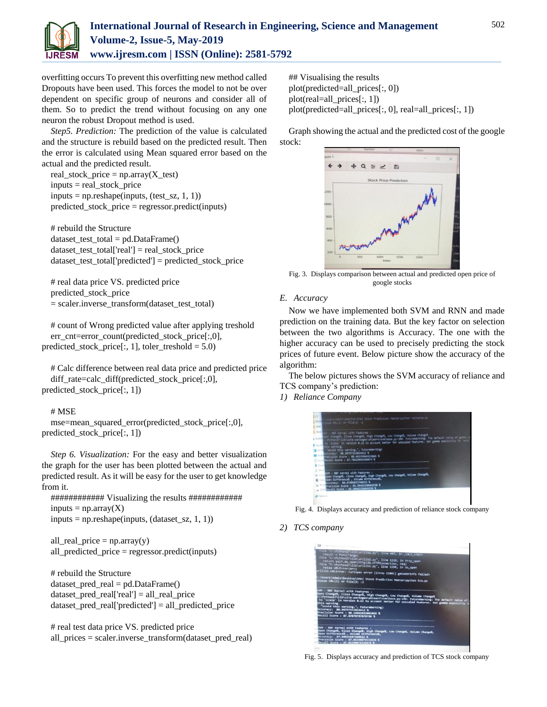

overfitting occurs To prevent this overfitting new method called Dropouts have been used. This forces the model to not be over dependent on specific group of neurons and consider all of them. So to predict the trend without focusing on any one neuron the robust Dropout method is used.

*Step5. Prediction:* The prediction of the value is calculated and the structure is rebuild based on the predicted result. Then the error is calculated using Mean squared error based on the actual and the predicted result.

real\_stock\_price =  $np.array(X_test)$ inputs = real\_stock\_price  $inputs = np.reshape(inputs, (test_sz, 1, 1))$ predicted\_stock\_price = regressor.predict(inputs)

# rebuild the Structure  $dataset_test\_total = pd.DataFrame()$ dataset\_test\_total['real'] = real\_stock\_price dataset\_test\_total['predicted'] = predicted\_stock\_price

# real data price VS. predicted price predicted\_stock\_price = scaler.inverse\_transform(dataset\_test\_total)

# count of Wrong predicted value after applying treshold err\_cnt=error\_count(predicted\_stock\_price[:,0], predicted\_stock\_price[:, 1], toler\_treshold =  $5.0$ )

# Calc difference between real data price and predicted price diff\_rate=calc\_diff(predicted\_stock\_price[:,0], predicted\_stock\_price[:, 1])

# # MSE

mse=mean\_squared\_error(predicted\_stock\_price[:,0], predicted\_stock\_price[:, 1])

*Step 6. Visualization:* For the easy and better visualization the graph for the user has been plotted between the actual and predicted result. As it will be easy for the user to get knowledge from it.

############ Visualizing the results ############  $inputs = np.array(X)$  $inputs = np.reshape(inputs, (dataset\_sz, 1, 1))$ 

all\_real\_price =  $np.array(y)$ all\_predicted\_price = regressor.predict(inputs)

# rebuild the Structure dataset\_pred\_real = pd.DataFrame() dataset\_pred\_real['real'] = all\_real\_price dataset\_pred\_real['predicted'] = all\_predicted\_price

# real test data price VS. predicted price all\_prices = scaler.inverse\_transform(dataset\_pred\_real) ## Visualising the results plot(predicted=all\_prices[:, 0]) plot(real=all\_prices[:, 1]) plot(predicted=all\_prices[:, 0], real=all\_prices[:, 1])

Graph showing the actual and the predicted cost of the google stock:



Fig. 3. Displays comparison between actual and predicted open price of google stocks

# *E. Accuracy*

Now we have implemented both SVM and RNN and made prediction on the training data. But the key factor on selection between the two algorithms is Accuracy. The one with the higher accuracy can be used to precisely predicting the stock prices of future event. Below picture show the accuracy of the algorithm:

The below pictures shows the SVM accuracy of reliance and TCS company's prediction:

*1) Reliance Company*



Fig. 4. Displays accuracy and prediction of reliance stock company

*2) TCS company*



Fig. 5. Displays accuracy and prediction of TCS stock company